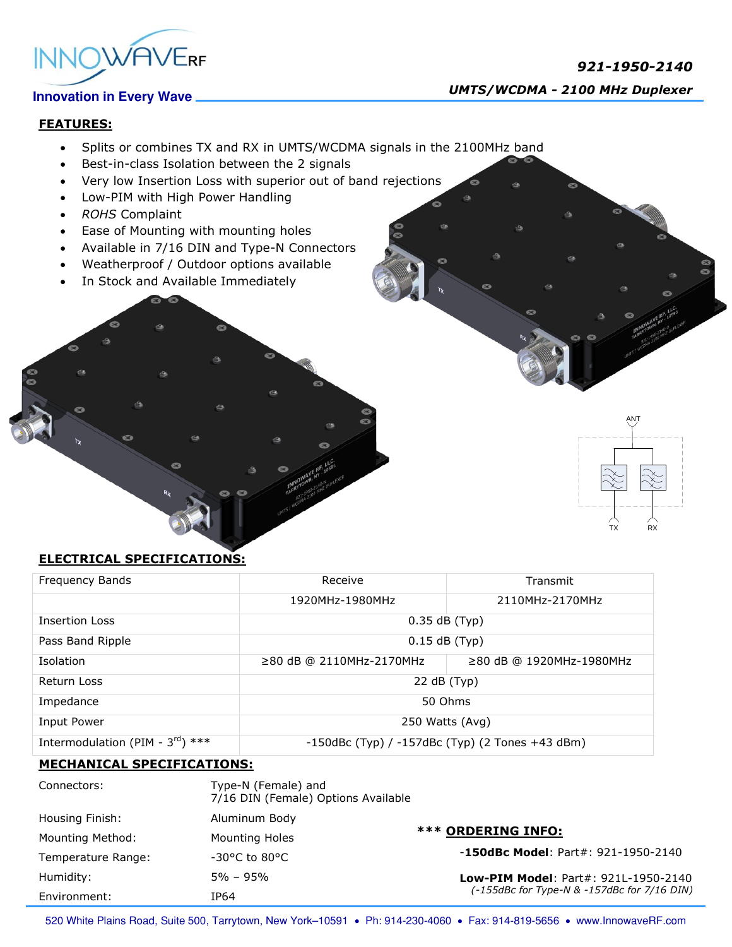

# *921-1950-2140*

 *UMTS/WCDMA - <sup>2100</sup> MHz Duplexer*

## **FEATURES:**

- Splits or combines TX and RX in UMTS/WCDMA signals in the 2100MHz band
- Best-in-class Isolation between the 2 signals
- Very low Insertion Loss with superior out of band rejections
- Low-PIM with High Power Handling
- *ROHS* Complaint
- Ease of Mounting with mounting holes
- Available in 7/16 DIN and Type-N Connectors
- Weatherproof / Outdoor options available
- In Stock and Available Immediately



## **ELECTRICAL SPECIFICATIONS:**

| Frequency Bands                       | Receive                                               | Transmit                 |
|---------------------------------------|-------------------------------------------------------|--------------------------|
|                                       | 1920MHz-1980MHz                                       | 2110MHz-2170MHz          |
| Insertion Loss                        | $0.35$ dB (Typ)                                       |                          |
| Pass Band Ripple                      | $0.15$ dB (Typ)                                       |                          |
| Isolation                             | $\geq$ 80 dB @ 2110MHz-2170MHz                        | ≥80 dB @ 1920MHz-1980MHz |
| Return Loss                           | 22 dB (Typ)                                           |                          |
| Impedance                             | 50 Ohms                                               |                          |
| Input Power                           | 250 Watts (Avg)                                       |                          |
| Intermodulation (PIM - $3^{rd}$ ) *** | $-150$ dBc (Typ) / $-157$ dBc (Typ) (2 Tones +43 dBm) |                          |

### **MECHANICAL SPECIFICATIONS:**

| Connectors:        | Type-N (Female) and<br>7/16 DIN (Female) Options Available |                                             |  |
|--------------------|------------------------------------------------------------|---------------------------------------------|--|
| Housing Finish:    | Aluminum Body                                              |                                             |  |
| Mounting Method:   | <b>Mounting Holes</b>                                      | <b>*** ORDERING INFO:</b>                   |  |
| Temperature Range: | $-30^{\circ}$ C to 80°C                                    | $-150$ dBc Model: Part#: 921-1950-2140      |  |
| Humidity:          | $5\% - 95\%$                                               | <b>Low-PIM Model: Part#: 921L-1950-2140</b> |  |
| Environment:       | IP64                                                       | (-155dBc for Type-N & -157dBc for 7/16 DIN) |  |

520 White Plains Road, Suite 500, Tarrytown, New York-10591 . Ph: 914-230-4060 . Fax: 914-819-5656 . www.InnowaveRF.com